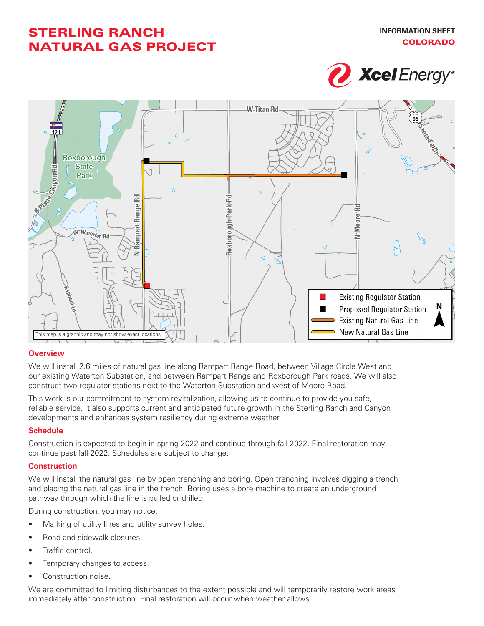# STERLING RANCH NATURAL GAS PROJECT





### **Overview**

We will install 2.6 miles of natural gas line along Rampart Range Road, between Village Circle West and our existing Waterton Substation, and between Rampart Range and Roxborough Park roads. We will also construct two regulator stations next to the Waterton Substation and west of Moore Road.

This work is our commitment to system revitalization, allowing us to continue to provide you safe, reliable service. It also supports current and anticipated future growth in the Sterling Ranch and Canyon developments and enhances system resiliency during extreme weather.

## **Schedule**

Construction is expected to begin in spring 2022 and continue through fall 2022. Final restoration may continue past fall 2022. Schedules are subject to change.

### **Construction**

We will install the natural gas line by open trenching and boring. Open trenching involves digging a trench and placing the natural gas line in the trench. Boring uses a bore machine to create an underground pathway through which the line is pulled or drilled.

During construction, you may notice:

- Marking of utility lines and utility survey holes.
- Road and sidewalk closures.
- Traffic control.
- Temporary changes to access.
- Construction noise.

We are committed to limiting disturbances to the extent possible and will temporarily restore work areas immediately after construction. Final restoration will occur when weather allows.